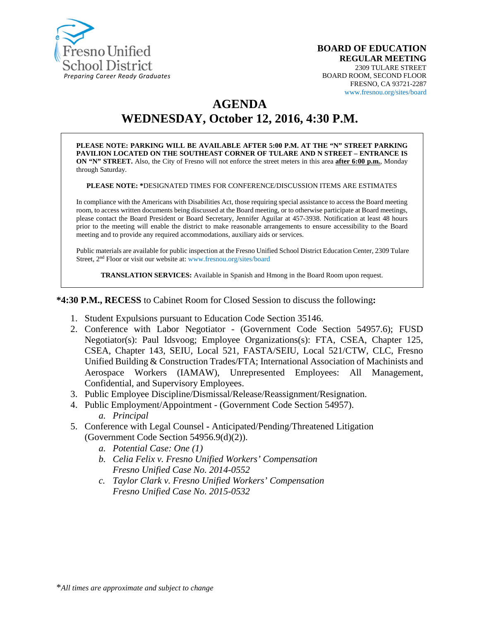

#### **BOARD OF EDUCATION REGULAR MEETING** 2309 TULARE STREET BOARD ROOM, SECOND FLOOR FRESNO, CA 93721-2287 www.fresnou.org/sites/board

# **AGENDA**

**WEDNESDAY, October 12, 2016, 4:30 P.M.**

**PLEASE NOTE: PARKING WILL BE AVAILABLE AFTER 5:00 P.M. AT THE "N" STREET PARKING PAVILION LOCATED ON THE SOUTHEAST CORNER OF TULARE AND N STREET – ENTRANCE IS ON "N" STREET.** Also, the City of Fresno will not enforce the street meters in this area **after 6:00 p.m.**, Monday through Saturday.

**PLEASE NOTE: \***DESIGNATED TIMES FOR CONFERENCE/DISCUSSION ITEMS ARE ESTIMATES

In compliance with the Americans with Disabilities Act, those requiring special assistance to access the Board meeting room, to access written documents being discussed at the Board meeting, or to otherwise participate at Board meetings, please contact the Board President or Board Secretary, Jennifer Aguilar at 457-3938. Notification at least 48 hours prior to the meeting will enable the district to make reasonable arrangements to ensure accessibility to the Board meeting and to provide any required accommodations, auxiliary aids or services.

Public materials are available for public inspection at the Fresno Unified School District Education Center, 2309 Tulare Street, 2nd Floor or visit our website at: www.fresnou.org/sites/board

**TRANSLATION SERVICES:** Available in Spanish and Hmong in the Board Room upon request.

**\*4:30 P.M., RECESS** to Cabinet Room for Closed Session to discuss the following**:**

- 1. Student Expulsions pursuant to Education Code Section 35146.
- 2. Conference with Labor Negotiator (Government Code Section 54957.6); FUSD Negotiator(s): Paul Idsvoog; Employee Organizations(s): FTA, CSEA, Chapter 125, CSEA, Chapter 143, SEIU, Local 521, FASTA/SEIU, Local 521/CTW, CLC, Fresno Unified Building & Construction Trades/FTA; International Association of Machinists and Aerospace Workers (IAMAW), Unrepresented Employees: All Management, Confidential, and Supervisory Employees.
- 3. Public Employee Discipline/Dismissal/Release/Reassignment/Resignation.
- 4. Public Employment/Appointment (Government Code Section 54957). *a. Principal*
- 5. Conference with Legal Counsel **-** Anticipated/Pending/Threatened Litigation (Government Code Section 54956.9(d)(2)).
	- *a. Potential Case: One (1)*
	- *b. Celia Felix v. Fresno Unified Workers' Compensation Fresno Unified Case No. 2014-0552*
	- *c. Taylor Clark v. Fresno Unified Workers' Compensation Fresno Unified Case No. 2015-0532*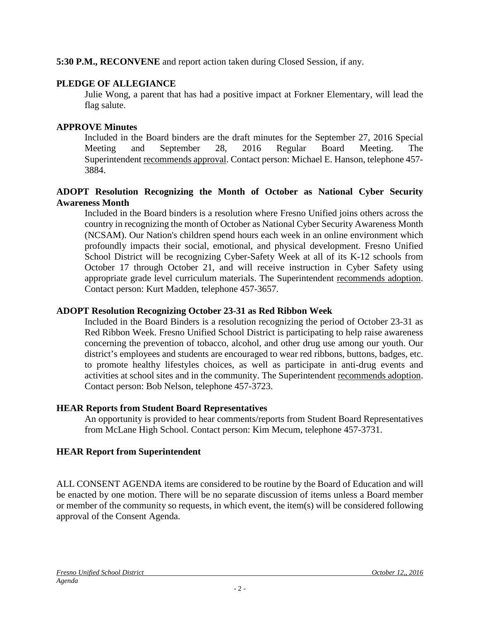**5:30 P.M., RECONVENE** and report action taken during Closed Session, if any.

### **PLEDGE OF ALLEGIANCE**

Julie Wong, a parent that has had a positive impact at Forkner Elementary, will lead the flag salute.

### **APPROVE Minutes**

Included in the Board binders are the draft minutes for the September 27, 2016 Special Meeting and September 28, 2016 Regular Board Meeting. The Superintendent recommends approval. Contact person: Michael E. Hanson, telephone 457- 3884.

### **ADOPT Resolution Recognizing the Month of October as National Cyber Security Awareness Month**

Included in the Board binders is a resolution where Fresno Unified joins others across the country in recognizing the month of October as National Cyber Security Awareness Month (NCSAM). Our Nation's children spend hours each week in an online environment which profoundly impacts their social, emotional, and physical development. Fresno Unified School District will be recognizing Cyber-Safety Week at all of its K-12 schools from October 17 through October 21, and will receive instruction in Cyber Safety using appropriate grade level curriculum materials. The Superintendent recommends adoption. Contact person: Kurt Madden, telephone 457-3657.

### **ADOPT Resolution Recognizing October 23-31 as Red Ribbon Week**

Included in the Board Binders is a resolution recognizing the period of October 23-31 as Red Ribbon Week. Fresno Unified School District is participating to help raise awareness concerning the prevention of tobacco, alcohol, and other drug use among our youth. Our district's employees and students are encouraged to wear red ribbons, buttons, badges, etc. to promote healthy lifestyles choices, as well as participate in anti-drug events and activities at school sites and in the community. The Superintendent recommends adoption. Contact person: Bob Nelson, telephone 457-3723.

### **HEAR Reports from Student Board Representatives**

An opportunity is provided to hear comments/reports from Student Board Representatives from McLane High School. Contact person: Kim Mecum, telephone 457-3731.

### **HEAR Report from Superintendent**

ALL CONSENT AGENDA items are considered to be routine by the Board of Education and will be enacted by one motion. There will be no separate discussion of items unless a Board member or member of the community so requests, in which event, the item(s) will be considered following approval of the Consent Agenda.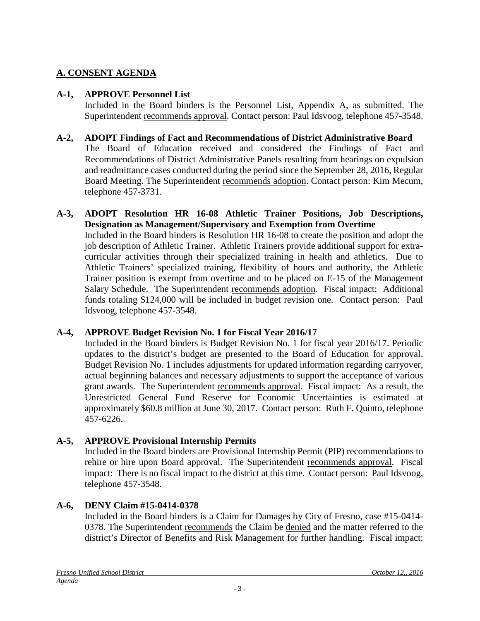### **A. CONSENT AGENDA**

#### **A-1, APPROVE Personnel List**

Included in the Board binders is the Personnel List, Appendix A, as submitted. The Superintendent recommends approval. Contact person: Paul Idsvoog, telephone 457-3548.

#### **A-2, ADOPT Findings of Fact and Recommendations of District Administrative Board**

The Board of Education received and considered the Findings of Fact and Recommendations of District Administrative Panels resulting from hearings on expulsion and readmittance cases conducted during the period since the September 28, 2016, Regular Board Meeting. The Superintendent recommends adoption. Contact person: Kim Mecum, telephone 457-3731.

**A-3, ADOPT Resolution HR 16-08 Athletic Trainer Positions, Job Descriptions, Designation as Management/Supervisory and Exemption from Overtime** Included in the Board binders is Resolution HR 16-08 to create the position and adopt the job description of Athletic Trainer. Athletic Trainers provide additional support for extracurricular activities through their specialized training in health and athletics. Due to Athletic Trainers' specialized training, flexibility of hours and authority, the Athletic Trainer position is exempt from overtime and to be placed on E-15 of the Management Salary Schedule. The Superintendent recommends adoption. Fiscal impact: Additional funds totaling \$124,000 will be included in budget revision one. Contact person: Paul Idsvoog, telephone 457-3548.

#### **A-4, APPROVE Budget Revision No. 1 for Fiscal Year 2016/17**

Included in the Board binders is Budget Revision No. 1 for fiscal year 2016/17. Periodic updates to the district's budget are presented to the Board of Education for approval. Budget Revision No. 1 includes adjustments for updated information regarding carryover, actual beginning balances and necessary adjustments to support the acceptance of various grant awards. The Superintendent recommends approval. Fiscal impact: As a result, the Unrestricted General Fund Reserve for Economic Uncertainties is estimated at approximately \$60.8 million at June 30, 2017. Contact person: Ruth F. Quinto, telephone 457-6226.

#### **A-5, APPROVE Provisional Internship Permits**

Included in the Board binders are Provisional Internship Permit (PIP) recommendations to rehire or hire upon Board approval. The Superintendent recommends approval. Fiscal impact: There is no fiscal impact to the district at this time. Contact person: Paul Idsvoog, telephone 457-3548.

#### **A-6, DENY Claim #15-0414-0378**

Included in the Board binders is a Claim for Damages by City of Fresno, case #15-0414- 0378. The Superintendent recommends the Claim be denied and the matter referred to the district's Director of Benefits and Risk Management for further handling. Fiscal impact: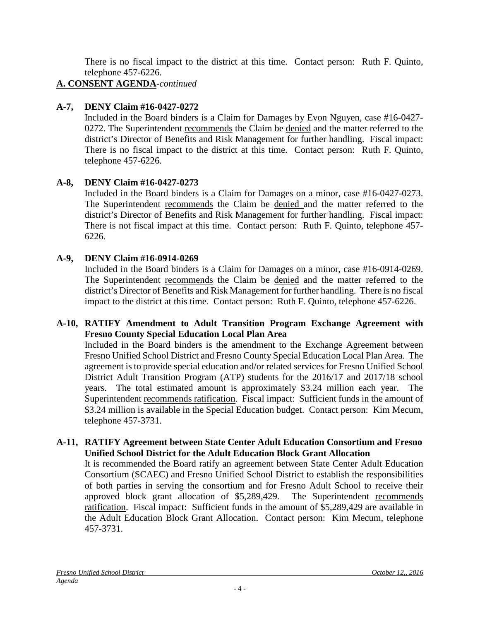There is no fiscal impact to the district at this time. Contact person: Ruth F. Quinto, telephone 457-6226.

## **A. CONSENT AGENDA**-*continued*

### **A-7, DENY Claim #16-0427-0272**

Included in the Board binders is a Claim for Damages by Evon Nguyen, case #16-0427- 0272. The Superintendent recommends the Claim be denied and the matter referred to the district's Director of Benefits and Risk Management for further handling. Fiscal impact: There is no fiscal impact to the district at this time. Contact person: Ruth F. Quinto, telephone 457-6226.

### **A-8, DENY Claim #16-0427-0273**

Included in the Board binders is a Claim for Damages on a minor, case #16-0427-0273. The Superintendent recommends the Claim be denied and the matter referred to the district's Director of Benefits and Risk Management for further handling. Fiscal impact: There is not fiscal impact at this time. Contact person: Ruth F. Quinto, telephone 457- 6226.

### **A-9, DENY Claim #16-0914-0269**

Included in the Board binders is a Claim for Damages on a minor, case #16-0914-0269. The Superintendent recommends the Claim be denied and the matter referred to the district's Director of Benefits and Risk Management for further handling. There is no fiscal impact to the district at this time. Contact person: Ruth F. Quinto, telephone 457-6226.

### **A-10, RATIFY Amendment to Adult Transition Program Exchange Agreement with Fresno County Special Education Local Plan Area**

Included in the Board binders is the amendment to the Exchange Agreement between Fresno Unified School District and Fresno County Special Education Local Plan Area. The agreement is to provide special education and/or related services for Fresno Unified School District Adult Transition Program (ATP) students for the 2016/17 and 2017/18 school years. The total estimated amount is approximately \$3.24 million each year. The Superintendent recommends ratification. Fiscal impact: Sufficient funds in the amount of \$3.24 million is available in the Special Education budget. Contact person: Kim Mecum, telephone 457-3731.

#### **A-11, RATIFY Agreement between State Center Adult Education Consortium and Fresno Unified School District for the Adult Education Block Grant Allocation**

It is recommended the Board ratify an agreement between State Center Adult Education Consortium (SCAEC) and Fresno Unified School District to establish the responsibilities of both parties in serving the consortium and for Fresno Adult School to receive their approved block grant allocation of \$5,289,429. The Superintendent recommends ratification. Fiscal impact: Sufficient funds in the amount of \$5,289,429 are available in the Adult Education Block Grant Allocation. Contact person: Kim Mecum, telephone 457-3731.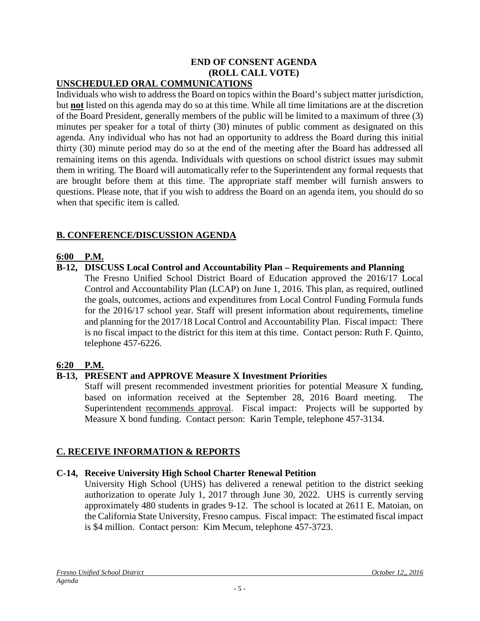# **END OF CONSENT AGENDA (ROLL CALL VOTE)**

### **UNSCHEDULED ORAL COMMUNICATIONS**

Individuals who wish to address the Board on topics within the Board's subject matter jurisdiction, but **not** listed on this agenda may do so at this time. While all time limitations are at the discretion of the Board President, generally members of the public will be limited to a maximum of three (3) minutes per speaker for a total of thirty (30) minutes of public comment as designated on this agenda. Any individual who has not had an opportunity to address the Board during this initial thirty (30) minute period may do so at the end of the meeting after the Board has addressed all remaining items on this agenda. Individuals with questions on school district issues may submit them in writing. The Board will automatically refer to the Superintendent any formal requests that are brought before them at this time. The appropriate staff member will furnish answers to questions. Please note, that if you wish to address the Board on an agenda item, you should do so when that specific item is called.

### **B. CONFERENCE/DISCUSSION AGENDA**

### **6:00 P.M.**

### **B-12, DISCUSS Local Control and Accountability Plan – Requirements and Planning**

The Fresno Unified School District Board of Education approved the 2016/17 Local Control and Accountability Plan (LCAP) on June 1, 2016. This plan, as required, outlined the goals, outcomes, actions and expenditures from Local Control Funding Formula funds for the 2016/17 school year. Staff will present information about requirements, timeline and planning for the 2017/18 Local Control and Accountability Plan. Fiscal impact: There is no fiscal impact to the district for this item at this time. Contact person: Ruth F. Quinto, telephone 457-6226.

### **6:20 P.M.**

### **B-13, PRESENT and APPROVE Measure X Investment Priorities**

Staff will present recommended investment priorities for potential Measure X funding, based on information received at the September 28, 2016 Board meeting. The Superintendent recommends approval. Fiscal impact: Projects will be supported by Measure X bond funding. Contact person: Karin Temple, telephone 457-3134.

### **C. RECEIVE INFORMATION & REPORTS**

### **C-14, Receive University High School Charter Renewal Petition**

University High School (UHS) has delivered a renewal petition to the district seeking authorization to operate July 1, 2017 through June 30, 2022. UHS is currently serving approximately 480 students in grades 9-12. The school is located at 2611 E. Matoian, on the California State University, Fresno campus. Fiscal impact: The estimated fiscal impact is \$4 million. Contact person: Kim Mecum, telephone 457-3723.